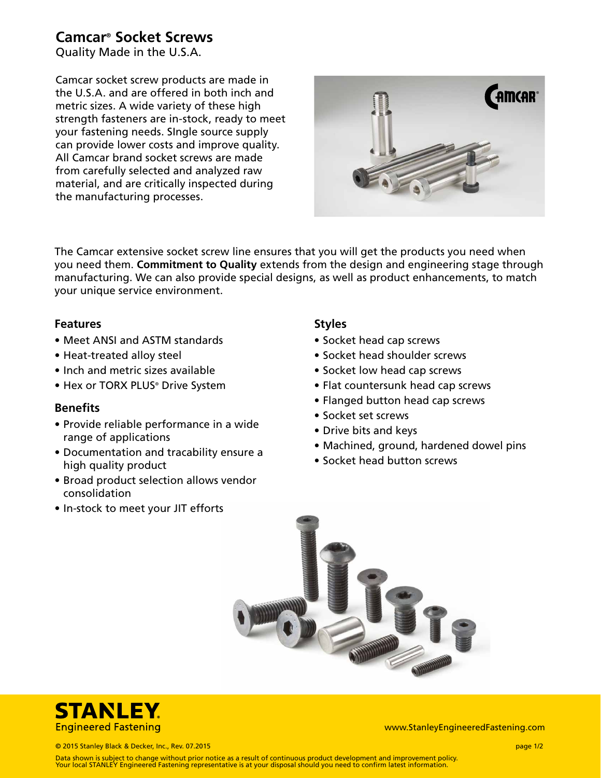# **Camcar® Socket Screws**

Quality Made in the U.S.A.

Camcar socket screw products are made in the U.S.A. and are offered in both inch and metric sizes. A wide variety of these high strength fasteners are in-stock, ready to meet your fastening needs. SIngle source supply can provide lower costs and improve quality. All Camcar brand socket screws are made from carefully selected and analyzed raw material, and are critically inspected during the manufacturing processes.



The Camcar extensive socket screw line ensures that you will get the products you need when you need them. **Commitment to Quality** extends from the design and engineering stage through manufacturing. We can also provide special designs, as well as product enhancements, to match your unique service environment.

### **Features**

- Meet ANSI and ASTM standards
- Heat-treated alloy steel
- Inch and metric sizes available
- Hex or TORX PLUS® Drive System

### **Benefits**

- Provide reliable performance in a wide range of applications
- Documentation and tracability ensure a high quality product
- Broad product selection allows vendor consolidation
- In-stock to meet your JIT efforts

### **Styles**

- Socket head cap screws
- Socket head shoulder screws
- Socket low head cap screws
- Flat countersunk head cap screws
- Flanged button head cap screws
- Socket set screws
- Drive bits and keys
- Machined, ground, hardened dowel pins
- Socket head button screws





www.StanleyEngineeredFastening.com

© 2015 Stanley Black & Decker, Inc., Rev. 07.2015 page 1/2

Data shown is subject to change without prior notice as a result of continuous product development and improvement policy. Your local STANLEY Engineered Fastening representative is at your disposal should you need to confirm latest information.